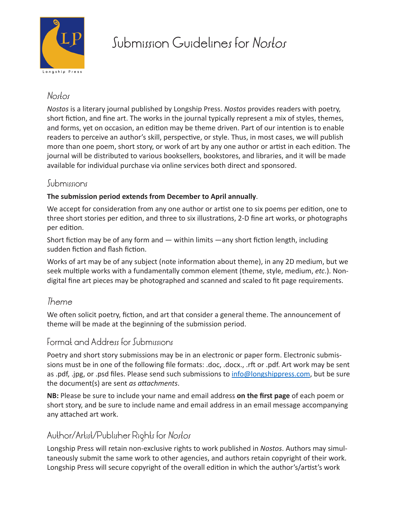

# Submission Guidelines for *Nostos*

### *Nostos*

*Nostos* is a literary journal published by Longship Press. *Nostos* provides readers with poetry, short fiction, and fine art. The works in the journal typically represent a mix of styles, themes, and forms, yet on occasion, an edition may be theme driven. Part of our intention is to enable readers to perceive an author's skill, perspective, or style. Thus, in most cases, we will publish more than one poem, short story, or work of art by any one author or artist in each edition. The journal will be distributed to various booksellers, bookstores, and libraries, and it will be made available for individual purchase via online services both direct and sponsored.

#### Submissions

#### **The submission period extends from December to April annually**.

We accept for consideration from any one author or artist one to six poems per edition, one to three short stories per edition, and three to six illustrations, 2-D fine art works, or photographs per edition.

Short fiction may be of any form and — within limits —any short fiction length, including sudden fiction and flash fiction.

Works of art may be of any subject (note information about theme), in any 2D medium, but we seek multiple works with a fundamentally common element (theme, style, medium, *etc*.). Nondigital fine art pieces may be photographed and scanned and scaled to fit page requirements.

#### *Theme*

We often solicit poetry, fiction, and art that consider a general theme. The announcement of theme will be made at the beginning of the submission period.

#### Format and Address for Submissions

Poetry and short story submissions may be in an electronic or paper form. Electronic submissions must be in one of the following file formats: .doc, .docx., .rft or .pdf. Art work may be sent as .pdf, .jpg, or .psd files. Please send such submissions to info@longshippress.com, but be sure the document(s) are sent *as attachments*.

**NB:** Please be sure to include your name and email address **on the first page** of each poem or short story, and be sure to include name and email address in an email message accompanying any attached art work.

## Author/Artist/Publisher Rights for *Nostos*

Longship Press will retain non-exclusive rights to work published in *Nostos*. Authors may simultaneously submit the same work to other agencies, and authors retain copyright of their work. Longship Press will secure copyright of the overall edition in which the author's/artist's work